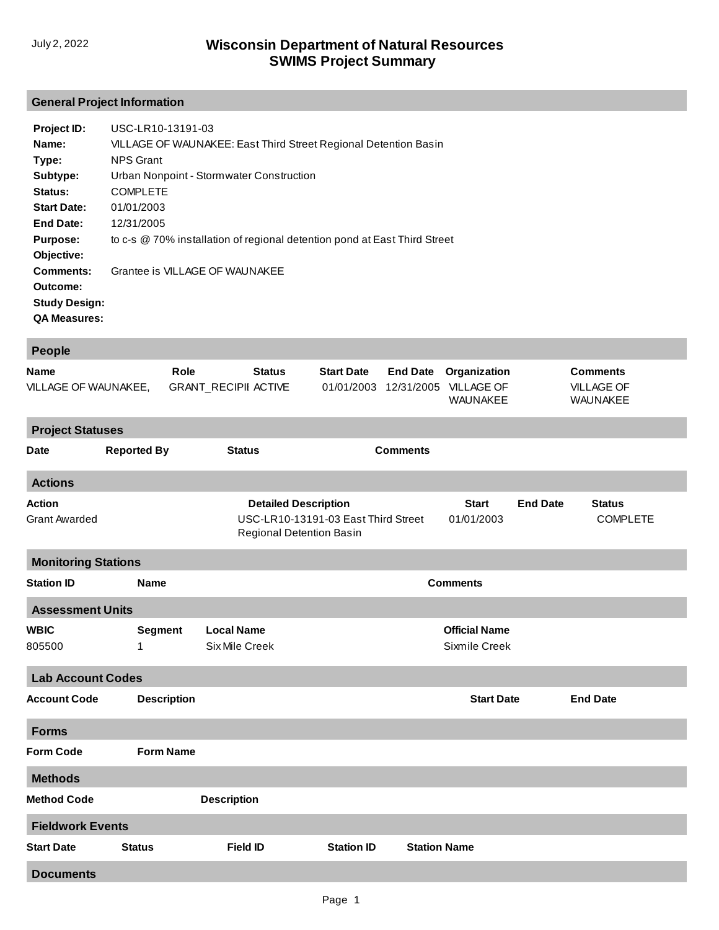## **General Project Information**

| Project ID:          | USC-LR10-13191-03                                                         |
|----------------------|---------------------------------------------------------------------------|
| Name:                | VILLAGE OF WAUNAKEE: East Third Street Regional Detention Basin           |
| Type:                | <b>NPS Grant</b>                                                          |
| Subtype:             | Urban Nonpoint - Stormwater Construction                                  |
| Status:              | <b>COMPLETE</b>                                                           |
| <b>Start Date:</b>   | 01/01/2003                                                                |
| <b>End Date:</b>     | 12/31/2005                                                                |
| <b>Purpose:</b>      | to c-s @ 70% installation of regional detention pond at East Third Street |
| Objective:           |                                                                           |
| Comments:            | Grantee is VILLAGE OF WAUNAKEE                                            |
| Outcome:             |                                                                           |
| <b>Study Design:</b> |                                                                           |
| <b>QA Measures:</b>  |                                                                           |

| <b>People</b>                         |                    |                                                         |                                     |                               |                                                      |                 |                                                  |  |  |  |  |
|---------------------------------------|--------------------|---------------------------------------------------------|-------------------------------------|-------------------------------|------------------------------------------------------|-----------------|--------------------------------------------------|--|--|--|--|
| <b>Name</b><br>VILLAGE OF WAUNAKEE,   |                    | Role<br><b>Status</b><br><b>GRANT_RECIPII ACTIVE</b>    | <b>Start Date</b><br>01/01/2003     | <b>End Date</b><br>12/31/2005 | Organization<br><b>VILLAGE OF</b><br><b>WAUNAKEE</b> |                 | <b>Comments</b><br><b>VILLAGE OF</b><br>WAUNAKEE |  |  |  |  |
| <b>Project Statuses</b>               |                    |                                                         |                                     |                               |                                                      |                 |                                                  |  |  |  |  |
| <b>Date</b>                           | <b>Reported By</b> | <b>Status</b>                                           |                                     | <b>Comments</b>               |                                                      |                 |                                                  |  |  |  |  |
| <b>Actions</b>                        |                    |                                                         |                                     |                               |                                                      |                 |                                                  |  |  |  |  |
| <b>Action</b><br><b>Grant Awarded</b> |                    | <b>Detailed Description</b><br>Regional Detention Basin | USC-LR10-13191-03 East Third Street |                               | <b>Start</b><br>01/01/2003                           | <b>End Date</b> | <b>Status</b><br><b>COMPLETE</b>                 |  |  |  |  |
| <b>Monitoring Stations</b>            |                    |                                                         |                                     |                               |                                                      |                 |                                                  |  |  |  |  |
| <b>Station ID</b>                     | <b>Name</b>        | <b>Comments</b>                                         |                                     |                               |                                                      |                 |                                                  |  |  |  |  |
| <b>Assessment Units</b>               |                    |                                                         |                                     |                               |                                                      |                 |                                                  |  |  |  |  |
| <b>WBIC</b>                           | <b>Segment</b>     | <b>Local Name</b>                                       |                                     |                               | <b>Official Name</b>                                 |                 |                                                  |  |  |  |  |
| 805500                                | 1                  | Six Mile Creek                                          |                                     |                               | Sixmile Creek                                        |                 |                                                  |  |  |  |  |
| <b>Lab Account Codes</b>              |                    |                                                         |                                     |                               |                                                      |                 |                                                  |  |  |  |  |
| <b>Account Code</b>                   | <b>Description</b> |                                                         |                                     |                               | <b>Start Date</b>                                    |                 | <b>End Date</b>                                  |  |  |  |  |
| <b>Forms</b>                          |                    |                                                         |                                     |                               |                                                      |                 |                                                  |  |  |  |  |
| <b>Form Code</b>                      | <b>Form Name</b>   |                                                         |                                     |                               |                                                      |                 |                                                  |  |  |  |  |
| <b>Methods</b>                        |                    |                                                         |                                     |                               |                                                      |                 |                                                  |  |  |  |  |
| <b>Method Code</b>                    |                    | <b>Description</b>                                      |                                     |                               |                                                      |                 |                                                  |  |  |  |  |
| <b>Fieldwork Events</b>               |                    |                                                         |                                     |                               |                                                      |                 |                                                  |  |  |  |  |
| <b>Start Date</b>                     | <b>Status</b>      | <b>Field ID</b>                                         | <b>Station ID</b>                   | <b>Station Name</b>           |                                                      |                 |                                                  |  |  |  |  |
| <b>Documents</b>                      |                    |                                                         |                                     |                               |                                                      |                 |                                                  |  |  |  |  |